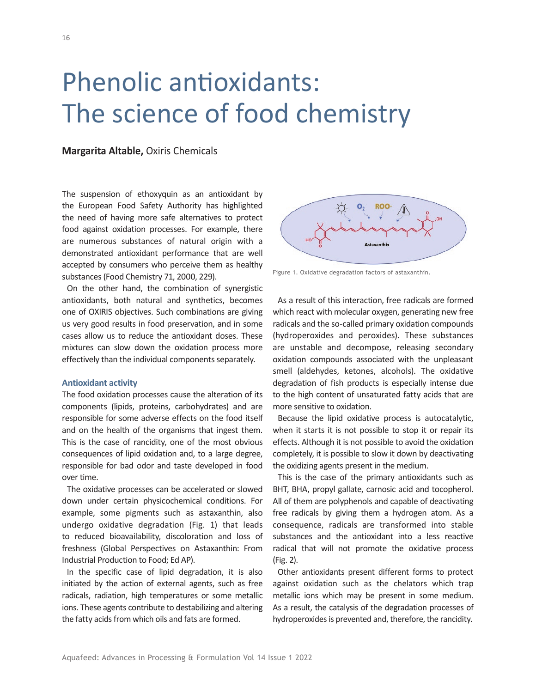# Phenolic antioxidants: The science of food chemistry

## **Margarita Altable,** Oxiris Chemicals

The suspension of ethoxyquin as an antioxidant by the European Food Safety Authority has highlighted the need of having more safe alternatives to protect food against oxidation processes. For example, there are numerous substances of natural origin with a demonstrated antioxidant performance that are well accepted by consumers who perceive them as healthy substances (Food Chemistry 71, 2000, 229).

On the other hand, the combination of synergistic antioxidants, both natural and synthetics, becomes one of OXIRIS objectives. Such combinations are giving us very good results in food preservation, and in some cases allow us to reduce the antioxidant doses. These mixtures can slow down the oxidation process more effectively than the individual components separately.

#### **Antioxidant activity**

The food oxidation processes cause the alteration of its components (lipids, proteins, carbohydrates) and are responsible for some adverse effects on the food itself and on the health of the organisms that ingest them. This is the case of rancidity, one of the most obvious consequences of lipid oxidation and, to a large degree, responsible for bad odor and taste developed in food over time.

The oxidative processes can be accelerated or slowed down under certain physicochemical conditions. For example, some pigments such as astaxanthin, also undergo oxidative degradation (Fig. 1) that leads to reduced bioavailability, discoloration and loss of freshness (Global Perspectives on Astaxanthin: From Industrial Production to Food; Ed AP).

In the specific case of lipid degradation, it is also initiated by the action of external agents, such as free radicals, radiation, high temperatures or some metallic ions. These agents contribute to destabilizing and altering the fatty acids from which oils and fats are formed.



Figure 1. Oxidative degradation factors of astaxanthin.

As a result of this interaction, free radicals are formed which react with molecular oxygen, generating new free radicals and the so-called primary oxidation compounds (hydroperoxides and peroxides). These substances are unstable and decompose, releasing secondary oxidation compounds associated with the unpleasant smell (aldehydes, ketones, alcohols). The oxidative degradation of fish products is especially intense due to the high content of unsaturated fatty acids that are more sensitive to oxidation.

Because the lipid oxidative process is autocatalytic, when it starts it is not possible to stop it or repair its effects. Although it is not possible to avoid the oxidation completely, it is possible to slow it down by deactivating the oxidizing agents present in the medium.

This is the case of the primary antioxidants such as BHT, BHA, propyl gallate, carnosic acid and tocopherol. All of them are polyphenols and capable of deactivating free radicals by giving them a hydrogen atom. As a consequence, radicals are transformed into stable substances and the antioxidant into a less reactive radical that will not promote the oxidative process (Fig. 2).

Other antioxidants present different forms to protect against oxidation such as the chelators which trap metallic ions which may be present in some medium. As a result, the catalysis of the degradation processes of hydroperoxides is prevented and, therefore, the rancidity.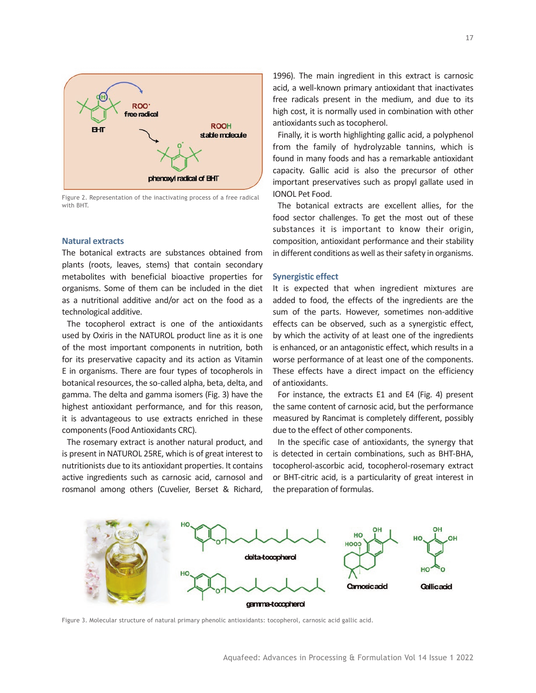

Figure 2. Representation of the inactivating process of a free radical with BHT.

## **Natural extracts**

The botanical extracts are substances obtained from plants (roots, leaves, stems) that contain secondary metabolites with beneficial bioactive properties for organisms. Some of them can be included in the diet as a nutritional additive and/or act on the food as a technological additive.

The tocopherol extract is one of the antioxidants used by Oxiris in the NATUROL product line as it is one of the most important components in nutrition, both for its preservative capacity and its action as Vitamin E in organisms. There are four types of tocopherols in botanical resources, the so-called alpha, beta, delta, and gamma. The delta and gamma isomers (Fig. 3) have the highest antioxidant performance, and for this reason, it is advantageous to use extracts enriched in these components (Food Antioxidants CRC).

The rosemary extract is another natural product, and is present in NATUROL 25RE, which is of great interest to nutritionists due to its antioxidant properties. It contains active ingredients such as carnosic acid, carnosol and rosmanol among others (Cuvelier, Berset & Richard,

1996). The main ingredient in this extract is carnosic acid, a well-known primary antioxidant that inactivates free radicals present in the medium, and due to its high cost, it is normally used in combination with other antioxidants such as tocopherol.

Finally, it is worth highlighting gallic acid, a polyphenol from the family of hydrolyzable tannins, which is found in many foods and has a remarkable antioxidant capacity. Gallic acid is also the precursor of other important preservatives such as propyl gallate used in IONOL Pet Food.

The botanical extracts are excellent allies, for the food sector challenges. To get the most out of these substances it is important to know their origin, composition, antioxidant performance and their stability in different conditions as well as their safety in organisms.

#### **Synergistic effect**

It is expected that when ingredient mixtures are added to food, the effects of the ingredients are the sum of the parts. However, sometimes non-additive effects can be observed, such as a synergistic effect, by which the activity of at least one of the ingredients is enhanced, or an antagonistic effect, which results in a worse performance of at least one of the components. These effects have a direct impact on the efficiency of antioxidants.

For instance, the extracts E1 and E4 (Fig. 4) present the same content of carnosic acid, but the performance measured by Rancimat is completely different, possibly due to the effect of other components.

In the specific case of antioxidants, the synergy that is detected in certain combinations, such as BHT-BHA, tocopherol-ascorbic acid, tocopherol-rosemary extract or BHT-citric acid, is a particularity of great interest in the preparation of formulas.



Figure 3. Molecular structure of natural primary phenolic antioxidants: tocopherol, carnosic acid gallic acid.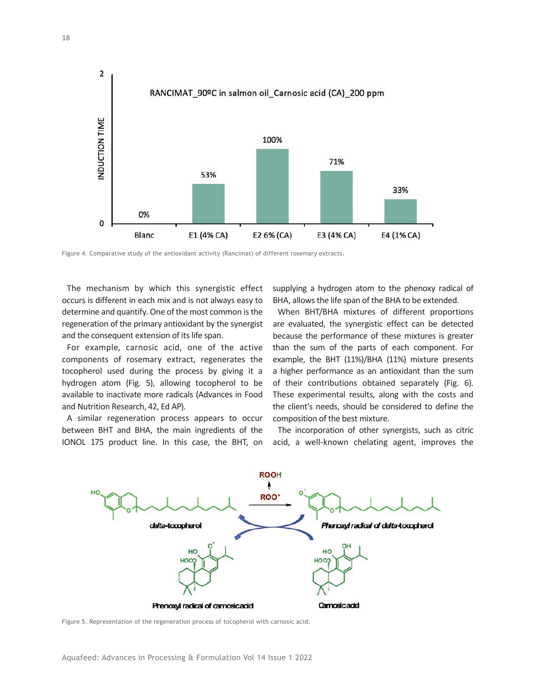

Figure 4. Comparative study of the antioxidant activity (Rancimat) of different rosemary extracts.

The mechanism by which this synergistic effect occurs is different in each mix and is not always easy to determine and quantify. One of the most common is the regeneration of the primary antioxidant by the synergist and the consequent extension of its life span.

For example, carnosic acid, one of the active components of rosemary extract, regenerates the tocopherol used during the process by giving it a hydrogen atom (Fig. 5), allowing tocopherol to be available to inactivate more radicals (Advances in Food and Nutrition Research, 42, Ed AP).

A similar regeneration process appears to occur between BHT and BHA, the main ingredients of the IONOL 175 product line. In this case, the BHT, on supplying a hydrogen atom to the phenoxy radical of BHA, allows the life span of the BHA to be extended.

When BHT/BHA mixtures of different proportions are evaluated, the synergistic effect can be detected because the performance of these mixtures is greater than the sum of the parts of each component. For example, the BHT (11%)/BHA (11%) mixture presents a higher performance as an antioxidant than the sum of their contributions obtained separately (Fig. 6). These experimental results, along with the costs and the client's needs, should be considered to define the composition of the best mixture.

The incorporation of other synergists, such as citric acid, a well-known chelating agent, improves the



Figure 5. Representation of the regeneration process of tocopherol with carnosic acid.